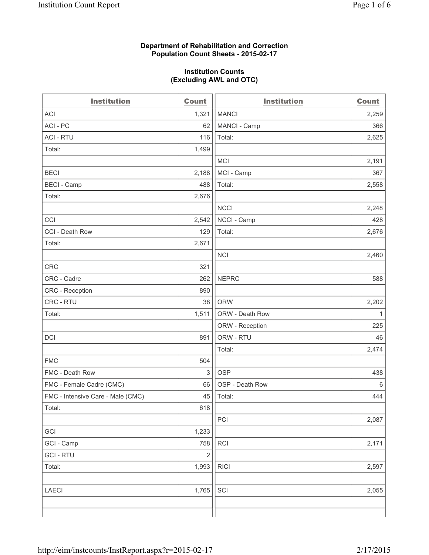## **Department of Rehabilitation and Correction Population Count Sheets - 2015-02-17**

## **Institution Counts (Excluding AWL and OTC)**

| <b>Institution</b>                | <b>Count</b>   | <b>Institution</b> | <b>Count</b> |
|-----------------------------------|----------------|--------------------|--------------|
| <b>ACI</b>                        | 1,321          | <b>MANCI</b>       | 2,259        |
| ACI-PC                            | 62             | MANCI - Camp       | 366          |
| <b>ACI - RTU</b>                  | 116            | Total:             | 2,625        |
| Total:                            | 1,499          |                    |              |
|                                   |                | <b>MCI</b>         | 2,191        |
| <b>BECI</b>                       | 2,188          | MCI - Camp         | 367          |
| <b>BECI</b> - Camp                | 488            | Total:             | 2,558        |
| Total:                            | 2,676          |                    |              |
|                                   |                | <b>NCCI</b>        | 2,248        |
| CCI                               | 2,542          | NCCI - Camp        | 428          |
| CCI - Death Row                   | 129            | Total:             | 2,676        |
| Total:                            | 2,671          |                    |              |
|                                   |                | <b>NCI</b>         | 2,460        |
| <b>CRC</b>                        | 321            |                    |              |
| CRC - Cadre                       | 262            | <b>NEPRC</b>       | 588          |
| CRC - Reception                   | 890            |                    |              |
| CRC - RTU                         | 38             | <b>ORW</b>         | 2,202        |
| Total:                            | 1,511          | ORW - Death Row    | $\mathbf{1}$ |
|                                   |                | ORW - Reception    | 225          |
| DCI                               | 891            | ORW - RTU          | 46           |
|                                   |                | Total:             | 2,474        |
| <b>FMC</b>                        | 504            |                    |              |
| FMC - Death Row                   | 3              | <b>OSP</b>         | 438          |
| FMC - Female Cadre (CMC)          | 66             | OSP - Death Row    | $\,6\,$      |
| FMC - Intensive Care - Male (CMC) | 45             | Total:             | 444          |
| Total:                            | 618            |                    |              |
|                                   |                | PCI                | 2,087        |
| GCI                               | 1,233          |                    |              |
| GCI - Camp                        | 758            | RCI                | 2,171        |
| <b>GCI - RTU</b>                  | $\overline{c}$ |                    |              |
| Total:                            | 1,993          | <b>RICI</b>        | 2,597        |
|                                   |                |                    |              |
| <b>LAECI</b>                      | 1,765          | SCI                | 2,055        |
|                                   |                |                    |              |
|                                   |                |                    |              |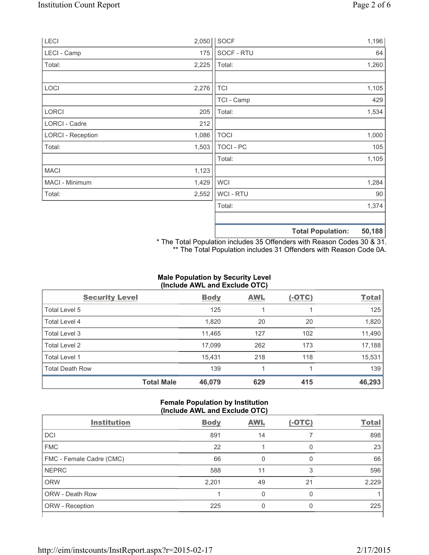| LECI                     | 2,050 | <b>SOCF</b>      | 1,196                              |
|--------------------------|-------|------------------|------------------------------------|
| LECI - Camp              | 175   | SOCF - RTU       | 64                                 |
| Total:                   | 2,225 | Total:           | 1,260                              |
|                          |       |                  |                                    |
| LOCI                     | 2,276 | <b>TCI</b>       | 1,105                              |
|                          |       | TCI - Camp       | 429                                |
| LORCI                    | 205   | Total:           | 1,534                              |
| LORCI - Cadre            | 212   |                  |                                    |
| <b>LORCI - Reception</b> | 1,086 | <b>TOCI</b>      | 1,000                              |
| Total:                   | 1,503 | <b>TOCI - PC</b> | 105                                |
|                          |       | Total:           | 1,105                              |
| <b>MACI</b>              | 1,123 |                  |                                    |
| MACI - Minimum           | 1,429 | <b>WCI</b>       | 1,284                              |
| Total:                   | 2,552 | <b>WCI-RTU</b>   | 90                                 |
|                          |       | Total:           | 1,374                              |
|                          |       |                  |                                    |
|                          |       |                  | 50,188<br><b>Total Population:</b> |

\* The Total Population includes 35 Offenders with Reason Codes 30 & 31. \*\* The Total Population includes 31 Offenders with Reason Code 0A.

## **Male Population by Security Level (Include AWL and Exclude OTC)**

| <b>Security Level</b>  |                   | <b>Body</b> | <b>AWL</b> | $(-OTC)$ | <b>Total</b> |
|------------------------|-------------------|-------------|------------|----------|--------------|
| Total Level 5          |                   | 125         |            |          | 125          |
| <b>Total Level 4</b>   |                   | 1,820       | 20         | 20       | 1,820        |
| Total Level 3          |                   | 11,465      | 127        | 102      | 11,490       |
| Total Level 2          |                   | 17,099      | 262        | 173      | 17,188       |
| Total Level 1          |                   | 15,431      | 218        | 118      | 15,531       |
| <b>Total Death Row</b> |                   | 139         |            |          | 139          |
|                        | <b>Total Male</b> | 46,079      | 629        | 415      | 46,293       |

#### **Female Population by Institution (Include AWL and Exclude OTC)**

| <b>Institution</b>       | <b>Body</b> | <b>AWL</b> | $(-OTC)$ | <b>Total</b> |
|--------------------------|-------------|------------|----------|--------------|
| DCI                      | 891         | 14         |          | 898          |
| <b>FMC</b>               | 22          |            | 0        | 23           |
| FMC - Female Cadre (CMC) | 66          | O          | O        | 66           |
| <b>NEPRC</b>             | 588         | 11         | 3        | 596          |
| <b>ORW</b>               | 2,201       | 49         | 21       | 2,229        |
| <b>ORW - Death Row</b>   |             |            | 0        |              |
| ORW - Reception          | 225         |            | 0        | 225          |
|                          |             |            |          |              |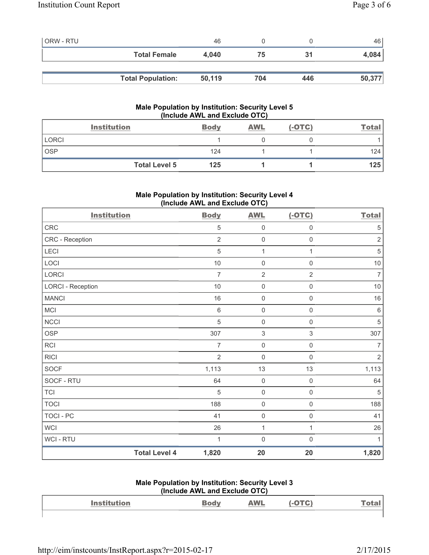| <b>ORW - RTU</b> |                          | 46     |     |     | 46 I   |
|------------------|--------------------------|--------|-----|-----|--------|
|                  | <b>Total Female</b>      | 4.040  | 75  | 31  | 4,084  |
|                  |                          |        |     |     |        |
|                  | <b>Total Population:</b> | 50,119 | 704 | 446 | 50,377 |

## **Male Population by Institution: Security Level 5 (Include AWL and Exclude OTC)**

|            | <b>Institution</b>   | <b>Body</b> | <b>AWL</b> | $(-OTC)$ | <b>Total</b> |
|------------|----------------------|-------------|------------|----------|--------------|
| LORCI      |                      |             |            |          |              |
| <b>OSP</b> |                      | 124         |            |          | 124          |
|            | <b>Total Level 5</b> | 125         |            |          | 125          |

# **Male Population by Institution: Security Level 4 (Include AWL and Exclude OTC)**

| <b>Institution</b>       |                      | <b>Body</b>    | <b>AWL</b>                | $(-OTC)$            | <b>Total</b>   |
|--------------------------|----------------------|----------------|---------------------------|---------------------|----------------|
| CRC                      |                      | $\sqrt{5}$     | $\mathsf{O}\xspace$       | $\mathsf{O}\xspace$ | $\sqrt{5}$     |
| CRC - Reception          |                      | $\overline{2}$ | $\mathbf 0$               | 0                   | $\sqrt{2}$     |
| LECI                     |                      | $\sqrt{5}$     | $\mathbf 1$               | $\mathbf{1}$        | $\overline{5}$ |
| LOCI                     |                      | 10             | $\mathsf{O}\xspace$       | 0                   | $10$           |
| LORCI                    |                      | $\overline{7}$ | $\overline{2}$            | $\overline{2}$      | $\overline{7}$ |
| <b>LORCI - Reception</b> |                      | 10             | $\mathbf 0$               | 0                   | 10             |
| <b>MANCI</b>             |                      | 16             | $\mathbf 0$               | $\mathbf 0$         | 16             |
| MCI                      |                      | $\,6\,$        | $\mathsf{O}\xspace$       | 0                   | $\,6\,$        |
| <b>NCCI</b>              |                      | $\sqrt{5}$     | $\mathsf{O}\xspace$       | $\mathsf{O}\xspace$ | $\sqrt{5}$     |
| <b>OSP</b>               |                      | 307            | $\ensuremath{\mathsf{3}}$ | 3                   | 307            |
| <b>RCI</b>               |                      | $\overline{7}$ | $\mathsf{O}\xspace$       | 0                   | $\overline{7}$ |
| <b>RICI</b>              |                      | $\overline{2}$ | $\mathbf 0$               | $\mathsf{O}\xspace$ | $\overline{2}$ |
| <b>SOCF</b>              |                      | 1,113          | 13                        | 13                  | 1,113          |
| SOCF - RTU               |                      | 64             | $\mathsf{O}\xspace$       | $\mathsf{O}\xspace$ | 64             |
| <b>TCI</b>               |                      | 5              | $\mathsf{O}\xspace$       | $\mathsf{O}\xspace$ | $\sqrt{5}$     |
| <b>TOCI</b>              |                      | 188            | $\mathsf{O}\xspace$       | $\mathsf 0$         | 188            |
| <b>TOCI - PC</b>         |                      | 41             | $\mathsf{O}\xspace$       | $\mathsf{O}\xspace$ | 41             |
| <b>WCI</b>               |                      | 26             | 1                         | 1                   | 26             |
| WCI - RTU                |                      | 1              | $\mathbf 0$               | $\mathsf{O}\xspace$ | $\mathbf{1}$   |
|                          | <b>Total Level 4</b> | 1,820          | 20                        | 20                  | 1,820          |

#### **Male Population by Institution: Security Level 3 (Include AWL and Exclude OTC)**

|                    | $\frac{1}{2}$ |            |      |
|--------------------|---------------|------------|------|
| <b>Institution</b> | odv           | <b>AWL</b> | Га≑а |
|                    |               |            |      |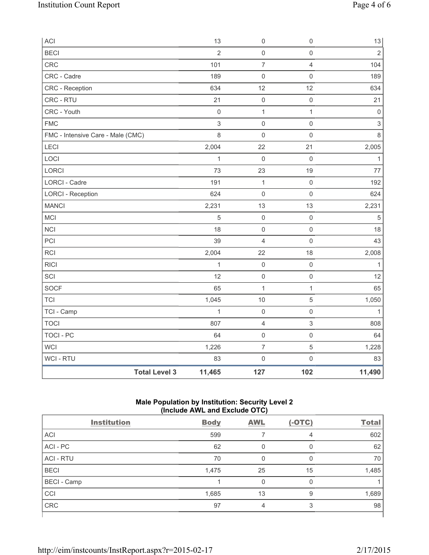| ACI                               | 13             | $\mathsf{O}\xspace$ | $\mathsf{O}\xspace$ | $13\,$                    |
|-----------------------------------|----------------|---------------------|---------------------|---------------------------|
| <b>BECI</b>                       | $\overline{2}$ | $\mathsf{O}\xspace$ | 0                   | $\overline{2}$            |
| CRC                               | 101            | $\overline{7}$      | $\overline{4}$      | 104                       |
| CRC - Cadre                       | 189            | $\mathsf{O}\xspace$ | $\mathsf{O}\xspace$ | 189                       |
| CRC - Reception                   | 634            | 12                  | 12                  | 634                       |
| CRC - RTU                         | 21             | $\pmb{0}$           | $\mathsf{O}\xspace$ | 21                        |
| CRC - Youth                       | $\mathbf 0$    | $\mathbf{1}$        | $\mathbf{1}$        | $\mathsf 0$               |
| <b>FMC</b>                        | $\mathsf 3$    | $\mathsf{O}\xspace$ | $\mathsf{O}\xspace$ | $\ensuremath{\mathsf{3}}$ |
| FMC - Intensive Care - Male (CMC) | 8              | $\mathsf{O}\xspace$ | $\mathsf{O}\xspace$ | $\,8\,$                   |
| LECI                              | 2,004          | 22                  | 21                  | 2,005                     |
| LOCI                              | $\mathbf{1}$   | $\mathbf 0$         | $\mathsf 0$         | $\mathbf{1}$              |
| LORCI                             | 73             | 23                  | 19                  | $77 \,$                   |
| LORCI - Cadre                     | 191            | $\mathbf 1$         | $\mathsf 0$         | 192                       |
| <b>LORCI - Reception</b>          | 624            | $\mathsf{O}\xspace$ | $\mathsf{O}\xspace$ | 624                       |
| <b>MANCI</b>                      | 2,231          | 13                  | 13                  | 2,231                     |
| MCI                               | 5              | $\mathsf{O}\xspace$ | $\mathsf{O}\xspace$ | 5                         |
| <b>NCI</b>                        | 18             | $\mathsf{O}\xspace$ | $\mathsf{O}\xspace$ | 18                        |
| PCI                               | 39             | $\overline{4}$      | $\mathsf{O}\xspace$ | 43                        |
| <b>RCI</b>                        | 2,004          | 22                  | 18                  | 2,008                     |
| <b>RICI</b>                       | $\mathbf{1}$   | $\mathsf{O}\xspace$ | $\mathsf 0$         | $\mathbf{1}$              |
| SCI                               | 12             | $\mathsf{O}\xspace$ | $\mathsf{O}\xspace$ | 12                        |
| SOCF                              | 65             | $\mathbf{1}$        | 1                   | 65                        |
| <b>TCI</b>                        | 1,045          | 10                  | 5                   | 1,050                     |
| TCI - Camp                        | $\mathbf{1}$   | $\mathsf{O}\xspace$ | $\mathsf{O}\xspace$ | $\mathbf{1}$              |
| <b>TOCI</b>                       | 807            | 4                   | $\,$ 3 $\,$         | 808                       |
| <b>TOCI - PC</b>                  | 64             | $\mathsf{O}\xspace$ | $\mathsf{O}\xspace$ | 64                        |
| WCI                               | 1,226          | $\overline{7}$      | 5                   | 1,228                     |
| WCI - RTU                         | 83             | $\mathbf 0$         | $\mathsf{O}\xspace$ | 83                        |
| <b>Total Level 3</b>              | 11,465         | 127                 | 102                 | 11,490                    |

# **Male Population by Institution: Security Level 2 (Include AWL and Exclude OTC)**

| $(11.01000)$ $(11.1000)$ $(11.000)$ $(0.0000)$ $(0.000)$ |             |            |          |              |  |
|----------------------------------------------------------|-------------|------------|----------|--------------|--|
| <b>Institution</b>                                       | <b>Body</b> | <b>AWL</b> | $(-OTC)$ | <b>Total</b> |  |
| <b>ACI</b>                                               | 599         |            | 4        | 602          |  |
| ACI - PC                                                 | 62          | 0          | 0        | 62           |  |
| <b>ACI - RTU</b>                                         | 70          | 0          | 0        | 70           |  |
| <b>BECI</b>                                              | 1,475       | 25         | 15       | 1,485        |  |
| <b>BECI</b> - Camp                                       |             |            | 0        |              |  |
| CCI                                                      | 1,685       | 13         | 9        | 1,689        |  |
| <b>CRC</b>                                               | 97          | 4          | 3        | 98           |  |
|                                                          |             |            |          |              |  |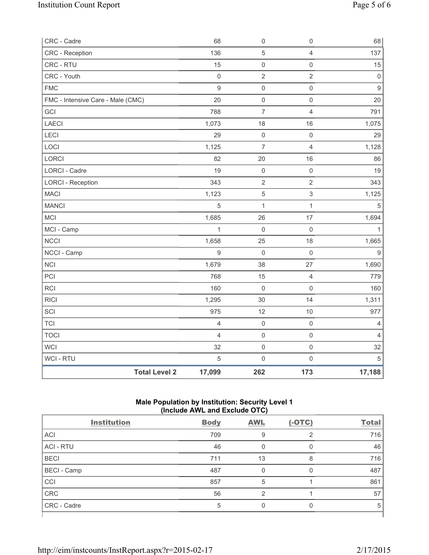| CRC - Cadre                       |                      | 68             | $\mathsf{O}\xspace$ | $\mathsf{O}\xspace$ | 68           |
|-----------------------------------|----------------------|----------------|---------------------|---------------------|--------------|
| <b>CRC</b> - Reception            |                      | 136            | $\sqrt{5}$          | $\overline{4}$      | 137          |
| CRC - RTU                         |                      | 15             | $\mathsf 0$         | $\mathsf{O}\xspace$ | 15           |
| CRC - Youth                       |                      | $\mathbf 0$    | $\sqrt{2}$          | $\overline{2}$      | $\mathsf 0$  |
| <b>FMC</b>                        |                      | 9              | $\mathbf 0$         | $\mathsf 0$         | $\mathsf g$  |
| FMC - Intensive Care - Male (CMC) |                      | 20             | $\mathsf{O}\xspace$ | $\mathsf{O}\xspace$ | 20           |
| GCI                               |                      | 788            | $\overline{7}$      | $\overline{4}$      | 791          |
| <b>LAECI</b>                      |                      | 1,073          | 18                  | 16                  | 1,075        |
| LECI                              |                      | 29             | $\mathsf{O}\xspace$ | $\mathsf{O}\xspace$ | 29           |
| LOCI                              |                      | 1,125          | $\overline{7}$      | $\overline{4}$      | 1,128        |
| <b>LORCI</b>                      |                      | 82             | 20                  | 16                  | 86           |
| <b>LORCI - Cadre</b>              |                      | 19             | $\mathsf{O}\xspace$ | $\mathsf{O}\xspace$ | 19           |
| <b>LORCI - Reception</b>          |                      | 343            | $\sqrt{2}$          | $\overline{2}$      | 343          |
| <b>MACI</b>                       |                      | 1,123          | $\sqrt{5}$          | $\mathsf 3$         | 1,125        |
| <b>MANCI</b>                      |                      | 5              | $\mathbf{1}$        | $\mathbf{1}$        | 5            |
| MCI                               |                      | 1,685          | 26                  | 17                  | 1,694        |
| MCI - Camp                        |                      | $\mathbf{1}$   | $\mathbf 0$         | $\mathsf{O}\xspace$ | $\mathbf{1}$ |
| <b>NCCI</b>                       |                      | 1,658          | 25                  | 18                  | 1,665        |
| NCCI - Camp                       |                      | 9              | $\mathbf 0$         | $\mathbf 0$         | 9            |
| NCI                               |                      | 1,679          | 38                  | 27                  | 1,690        |
| PCI                               |                      | 768            | 15                  | $\overline{4}$      | 779          |
| <b>RCI</b>                        |                      | 160            | $\mathsf{O}\xspace$ | $\mathsf{O}\xspace$ | 160          |
| <b>RICI</b>                       |                      | 1,295          | $30\,$              | 14                  | 1,311        |
| SCI                               |                      | 975            | 12                  | 10                  | 977          |
| <b>TCI</b>                        |                      | $\overline{4}$ | $\mathsf 0$         | $\mathsf{O}\xspace$ | 4            |
| <b>TOCI</b>                       |                      | $\overline{4}$ | $\mathsf{O}\xspace$ | 0                   | 4            |
| WCI                               |                      | 32             | $\mathsf 0$         | $\mathsf{O}\xspace$ | 32           |
| <b>WCI - RTU</b>                  |                      | $\overline{5}$ | $\mathsf{O}\xspace$ | $\mathsf{O}\xspace$ | 5            |
|                                   | <b>Total Level 2</b> | 17,099         | 262                 | 173                 | 17,188       |

# **Male Population by Institution: Security Level 1 (Include AWL and Exclude OTC)**

| Include Aire and Exclude OTOJ |             |            |          |              |  |
|-------------------------------|-------------|------------|----------|--------------|--|
| <b>Institution</b>            | <b>Body</b> | <b>AWL</b> | $(-OTC)$ | <b>Total</b> |  |
| <b>ACI</b>                    | 709         | 9          | 2        | 716          |  |
| <b>ACI - RTU</b>              | 46          | 0          | 0        | 46           |  |
| <b>BECI</b>                   | 711         | 13         | 8        | 716          |  |
| <b>BECI</b> - Camp            | 487         | 0          | 0        | 487          |  |
| <b>CCI</b>                    | 857         | 5          |          | 861          |  |
| <b>CRC</b>                    | 56          | 2          |          | 57           |  |
| CRC - Cadre                   | 5           | $\Omega$   | $\Omega$ | 5            |  |
|                               |             |            |          |              |  |